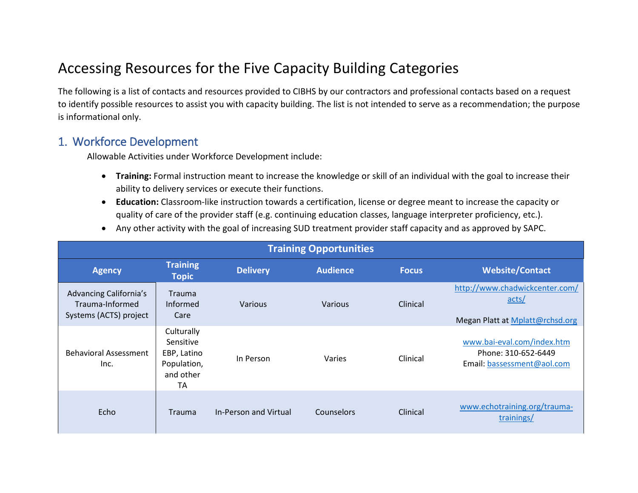# Accessing Resources for the Five Capacity Building Categories

The following is a list of contacts and resources provided to CIBHS by our contractors and professional contacts based on a request to identify possible resources to assist you with capacity building. The list is not intended to serve as a recommendation; the purpose is informational only.

#### 1. Workforce Development

Allowable Activities under Workforce Development include:

- **Training:** Formal instruction meant to increase the knowledge or skill of an individual with the goal to increase their ability to delivery services or execute their functions.
- **Education:** Classroom‐like instruction towards a certification, license or degree meant to increase the capacity or quality of care of the provider staff (e.g. continuing education classes, language interpreter proficiency, etc.).
- Any other activity with the goal of increasing SUD treatment provider staff capacity and as approved by SAPC.

| <b>Training Opportunities</b>                                       |                                                                                 |                       |                 |              |                                                                                                     |  |
|---------------------------------------------------------------------|---------------------------------------------------------------------------------|-----------------------|-----------------|--------------|-----------------------------------------------------------------------------------------------------|--|
| <b>Agency</b>                                                       | <b>Training</b><br><b>Topic</b>                                                 | <b>Delivery</b>       | <b>Audience</b> | <b>Focus</b> | <b>Website/Contact</b>                                                                              |  |
| Advancing California's<br>Trauma-Informed<br>Systems (ACTS) project | <b>Trauma</b><br>Informed<br>Care                                               | Various               | Various         | Clinical     | http://www.chadwickcenter.com/<br>$\frac{\text{acts}}{\text{.}}$<br>Megan Platt at Mplatt@rchsd.org |  |
| <b>Behavioral Assessment</b><br>Inc.                                | Culturally<br>Sensitive<br>EBP, Latino<br>Population,<br>and other<br><b>TA</b> | In Person             | Varies          | Clinical     | www.bai-eval.com/index.htm<br>Phone: 310-652-6449<br>Email: bassessment@aol.com                     |  |
| Echo                                                                | <b>Trauma</b>                                                                   | In-Person and Virtual | Counselors      | Clinical     | www.echotraining.org/trauma-<br>trainings/                                                          |  |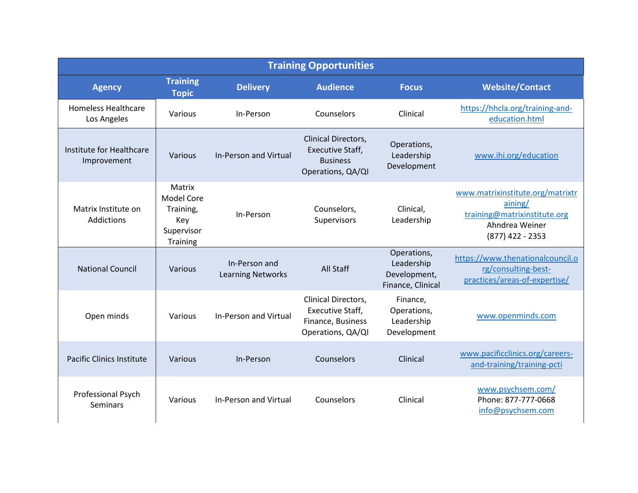| <b>Training Opportunities</b>             |                                                                    |                                           |                                                                                        |                                                                |                                                                                                                     |  |
|-------------------------------------------|--------------------------------------------------------------------|-------------------------------------------|----------------------------------------------------------------------------------------|----------------------------------------------------------------|---------------------------------------------------------------------------------------------------------------------|--|
| <b>Agency</b>                             | <b>Training</b><br><b>Topic</b>                                    | <b>Delivery</b>                           | <b>Audience</b>                                                                        | <b>Focus</b>                                                   | <b>Website/Contact</b>                                                                                              |  |
| <b>Homeless Healthcare</b><br>Los Angeles | Various                                                            | In-Person                                 | Counselors                                                                             | Clinical                                                       | https://hhcla.org/training-and-<br>education.html                                                                   |  |
| Institute for Healthcare<br>Improvement   | Various<br><b>In-Person and Virtual</b>                            |                                           | Clinical Directors,<br><b>Executive Staff,</b><br><b>Business</b><br>Operations, QA/QI | Operations,<br>Leadership<br>Development                       | www.ihi.org/education                                                                                               |  |
| Matrix Institute on<br>Addictions         | Matrix<br>Model Core<br>Training,<br>Key<br>Supervisor<br>Training | In-Person                                 | Counselors,<br>Supervisors                                                             | Clinical,<br>Leadership                                        | www.matrixinstitute.org/matrixtr<br>aining/<br>training@matrixinstitute.org<br>Ahndrea Weiner<br>$(877)$ 422 - 2353 |  |
| <b>National Council</b>                   | Various                                                            | In-Person and<br><b>Learning Networks</b> | <b>All Staff</b>                                                                       | Operations,<br>Leadership<br>Development,<br>Finance, Clinical | https://www.thenationalcouncil.o<br>rg/consulting-best-<br>practices/areas-of-expertise/                            |  |
| Open minds                                | Various                                                            | In-Person and Virtual                     | Clinical Directors,<br>Executive Staff,<br>Finance, Business<br>Operations, QA/QI      | Finance,<br>Operations,<br>Leadership<br>Development           | www.openminds.com                                                                                                   |  |
| <b>Pacific Clinics Institute</b>          | Various                                                            | In-Person                                 | Counselors                                                                             | Clinical                                                       | www.pacificclinics.org/careers-<br>and-training/training-pcti                                                       |  |
| Professional Psych<br><b>Seminars</b>     | Various                                                            | <b>In-Person and Virtual</b>              | Counselors                                                                             | Clinical                                                       | www.psychsem.com/<br>Phone: 877-777-0668<br>info@psychsem.com                                                       |  |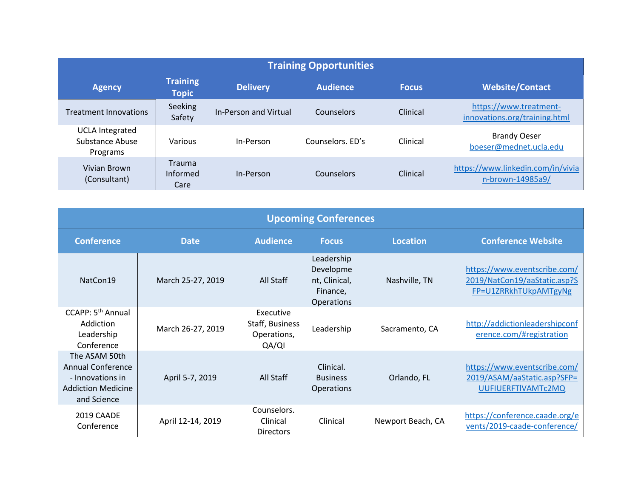| <b>Training Opportunities</b>                         |                                   |                       |                  |              |                                                         |  |  |
|-------------------------------------------------------|-----------------------------------|-----------------------|------------------|--------------|---------------------------------------------------------|--|--|
| <b>Agency</b>                                         | <b>Training</b><br><b>Topic</b>   | <b>Delivery</b>       | Audience         | <b>Focus</b> | <b>Website/Contact</b>                                  |  |  |
| <b>Treatment Innovations</b>                          | Seeking<br>Safety                 | In-Person and Virtual | Counselors       | Clinical     | https://www.treatment-<br>innovations.org/training.html |  |  |
| <b>UCLA Integrated</b><br>Substance Abuse<br>Programs | Various                           | In-Person             | Counselors, FD's | Clinical     | <b>Brandy Oeser</b><br>boeser@mednet.ucla.edu           |  |  |
| Vivian Brown<br>(Consultant)                          | <b>Trauma</b><br>Informed<br>Care | In-Person             | Counselors       | Clinical     | https://www.linkedin.com/in/vivia<br>n-brown-14985a9/   |  |  |

| <b>Upcoming Conferences</b>                                                                               |                   |                                                      |                                                                    |                   |                                                                                       |
|-----------------------------------------------------------------------------------------------------------|-------------------|------------------------------------------------------|--------------------------------------------------------------------|-------------------|---------------------------------------------------------------------------------------|
| <b>Conference</b>                                                                                         | <b>Date</b>       | <b>Audience</b>                                      | <b>Focus</b>                                                       | <b>Location</b>   | <b>Conference Website</b>                                                             |
| NatCon19                                                                                                  | March 25-27, 2019 | All Staff                                            | Leadership<br>Developme<br>nt, Clinical,<br>Finance,<br>Operations | Nashville, TN     | https://www.eventscribe.com/<br>2019/NatCon19/aaStatic.asp?S<br>FP=U1ZRRkhTUkpAMTgyNg |
| CCAPP: 5 <sup>th</sup> Annual<br>Addiction<br>Leadership<br>Conference                                    | March 26-27, 2019 | Executive<br>Staff, Business<br>Operations,<br>QA/QI | Leadership                                                         | Sacramento, CA    | http://addictionleadershipconf<br>erence.com/#registration                            |
| The ASAM 50th<br><b>Annual Conference</b><br>- Innovations in<br><b>Addiction Medicine</b><br>and Science | April 5-7, 2019   | All Staff                                            | Clinical.<br><b>Business</b><br><b>Operations</b>                  | Orlando, FL       | https://www.eventscribe.com/<br>2019/ASAM/aaStatic.asp?SFP=<br>UUFIUERFTIVAMTc2MQ     |
| 2019 CAADE<br>Conference                                                                                  | April 12-14, 2019 | Counselors.<br>Clinical<br><b>Directors</b>          | Clinical                                                           | Newport Beach, CA | https://conference.caade.org/e<br>vents/2019-caade-conference/                        |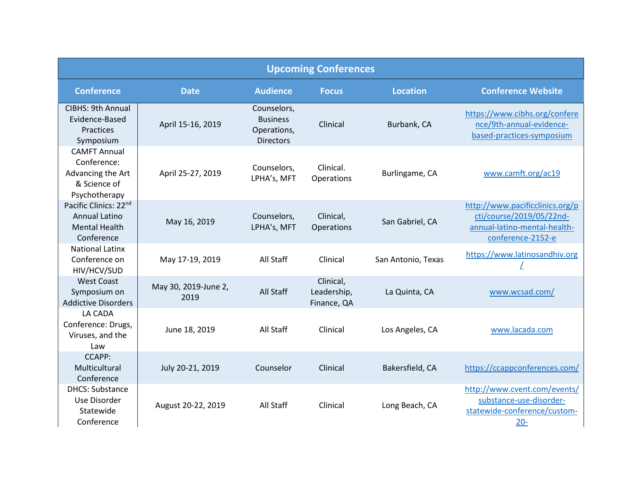| <b>Upcoming Conferences</b>                                                              |                              |                                                                   |                                         |                    |                                                                                                                  |
|------------------------------------------------------------------------------------------|------------------------------|-------------------------------------------------------------------|-----------------------------------------|--------------------|------------------------------------------------------------------------------------------------------------------|
| <b>Conference</b>                                                                        | <b>Date</b>                  | <b>Audience</b>                                                   | <b>Focus</b>                            | <b>Location</b>    | <b>Conference Website</b>                                                                                        |
| CIBHS: 9th Annual<br>Evidence-Based<br>Practices<br>Symposium                            | April 15-16, 2019            | Counselors,<br><b>Business</b><br>Operations,<br><b>Directors</b> | Clinical                                | Burbank, CA        | https://www.cibhs.org/confere<br>nce/9th-annual-evidence-<br>based-practices-symposium                           |
| <b>CAMFT Annual</b><br>Conference:<br>Advancing the Art<br>& Science of<br>Psychotherapy | April 25-27, 2019            | Counselors,<br>LPHA's, MFT                                        | Clinical.<br>Operations                 | Burlingame, CA     | www.camft.org/ac19                                                                                               |
| Pacific Clinics: 22nd<br><b>Annual Latino</b><br><b>Mental Health</b><br>Conference      | May 16, 2019                 | Counselors,<br>LPHA's, MFT                                        | Clinical,<br>Operations                 | San Gabriel, CA    | http://www.pacificclinics.org/p<br>cti/course/2019/05/22nd-<br>annual-latino-mental-health-<br>conference-2152-e |
| <b>National Latinx</b><br>Conference on<br>HIV/HCV/SUD                                   | May 17-19, 2019              | All Staff                                                         | Clinical                                | San Antonio, Texas | https://www.latinosandhiv.org                                                                                    |
| <b>West Coast</b><br>Symposium on<br><b>Addictive Disorders</b>                          | May 30, 2019-June 2,<br>2019 | All Staff                                                         | Clinical,<br>Leadership,<br>Finance, QA | La Quinta, CA      | www.wcsad.com/                                                                                                   |
| LA CADA<br>Conference: Drugs,<br>Viruses, and the<br>Law                                 | June 18, 2019                | All Staff                                                         | Clinical                                | Los Angeles, CA    | www.lacada.com                                                                                                   |
| <b>CCAPP:</b><br>Multicultural<br>Conference                                             | July 20-21, 2019             | Counselor                                                         | Clinical                                | Bakersfield, CA    | https://ccappconferences.com/                                                                                    |
| <b>DHCS: Substance</b><br>Use Disorder<br>Statewide<br>Conference                        | August 20-22, 2019           | All Staff                                                         | Clinical                                | Long Beach, CA     | http://www.cvent.com/events/<br>substance-use-disorder-<br>statewide-conference/custom-<br>$20 -$                |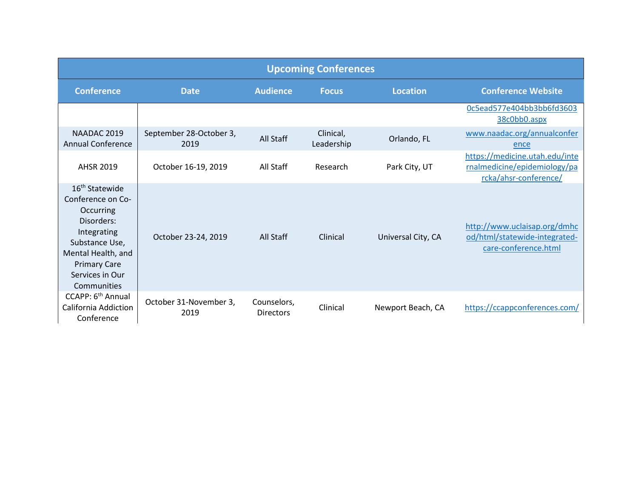|                                                                                                                                                                                            |                                 |                                 | <b>Upcoming Conferences</b> |                    |                                                                                         |
|--------------------------------------------------------------------------------------------------------------------------------------------------------------------------------------------|---------------------------------|---------------------------------|-----------------------------|--------------------|-----------------------------------------------------------------------------------------|
| <b>Conference</b>                                                                                                                                                                          | <b>Date</b>                     | <b>Audience</b>                 | <b>Focus</b>                | <b>Location</b>    | <b>Conference Website</b>                                                               |
|                                                                                                                                                                                            |                                 |                                 |                             |                    | Oc5ead577e404bb3bb6fd3603<br>38c0bb0.aspx                                               |
| NAADAC 2019<br>Annual Conference                                                                                                                                                           | September 28-October 3,<br>2019 | All Staff                       | Clinical,<br>Leadership     | Orlando, FL        | www.naadac.org/annualconfer<br>ence                                                     |
| <b>AHSR 2019</b>                                                                                                                                                                           | October 16-19, 2019             | All Staff                       | Research                    | Park City, UT      | https://medicine.utah.edu/inte<br>rnalmedicine/epidemiology/pa<br>rcka/ahsr-conference/ |
| 16 <sup>th</sup> Statewide<br>Conference on Co-<br>Occurring<br>Disorders:<br>Integrating<br>Substance Use,<br>Mental Health, and<br><b>Primary Care</b><br>Services in Our<br>Communities | October 23-24, 2019             | All Staff                       | Clinical                    | Universal City, CA | http://www.uclaisap.org/dmhc<br>od/html/statewide-integrated-<br>care-conference.html   |
| CCAPP: 6 <sup>th</sup> Annual<br><b>California Addiction</b><br>Conference                                                                                                                 | October 31-November 3,<br>2019  | Counselors,<br><b>Directors</b> | Clinical                    | Newport Beach, CA  | https://ccappconferences.com/                                                           |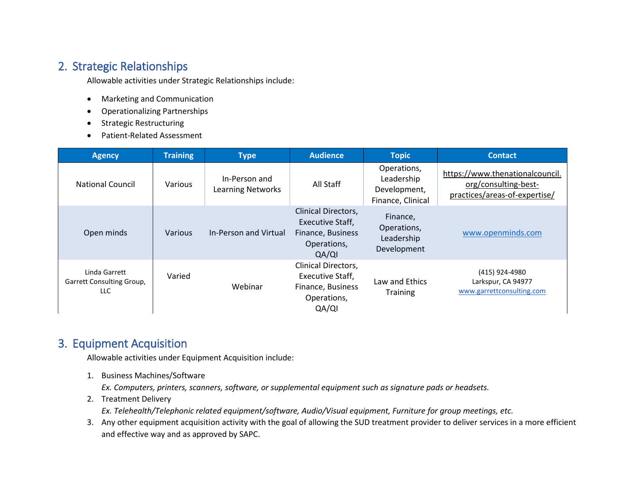# 2. Strategic Relationships

Allowable activities under Strategic Relationships include:

- Marketing and Communication
- Operationalizing Partnerships
- Strategic Restructuring
- Patient-Related Assessment

| <b>Agency</b>                                     | <b>Training</b> | <b>Type</b>                               | <b>Audience</b>                                                                                    | <b>Topic</b>                                                   | <b>Contact</b>                                                                           |
|---------------------------------------------------|-----------------|-------------------------------------------|----------------------------------------------------------------------------------------------------|----------------------------------------------------------------|------------------------------------------------------------------------------------------|
| <b>National Council</b>                           | Various         | In-Person and<br><b>Learning Networks</b> | All Staff                                                                                          | Operations,<br>Leadership<br>Development,<br>Finance, Clinical | https://www.thenationalcouncil.<br>org/consulting-best-<br>practices/areas-of-expertise/ |
| Open minds                                        | Various         | In-Person and Virtual                     | <b>Clinical Directors,</b><br><b>Executive Staff,</b><br>Finance, Business<br>Operations,<br>QA/QI | Finance,<br>Operations,<br>Leadership<br>Development           | www.openminds.com                                                                        |
| Linda Garrett<br>Garrett Consulting Group,<br>LLC | Varied          | Webinar                                   | <b>Clinical Directors,</b><br>Executive Staff,<br>Finance, Business<br>Operations,<br>QA/QI        | Law and Ethics<br><b>Training</b>                              | (415) 924-4980<br>Larkspur, CA 94977<br>www.garrettconsulting.com                        |

## 3. Equipment Acquisition

Allowable activities under Equipment Acquisition include:

1. Business Machines/Software

*Ex. Computers, printers, scanners, software, or supplemental equipment such as signature pads or headsets.*

2. Treatment Delivery

*Ex. Telehealth/Telephonic related equipment/software, Audio/Visual equipment, Furniture for group meetings, etc.*

3. Any other equipment acquisition activity with the goal of allowing the SUD treatment provider to deliver services in a more efficient and effective way and as approved by SAPC.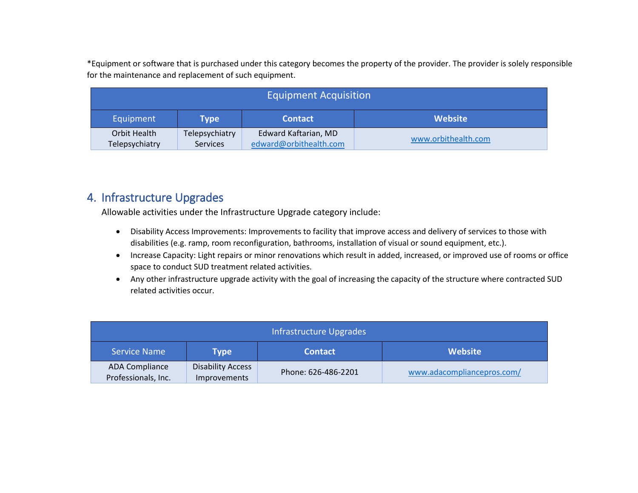\*Equipment or software that is purchased under this category becomes the property of the provider. The provider is solely responsible for the maintenance and replacement of such equipment.

| <b>Equipment Acquisition</b> |                                                 |                                               |  |  |  |
|------------------------------|-------------------------------------------------|-----------------------------------------------|--|--|--|
| Equipment                    | <b>Website</b><br><b>Contact</b><br><b>Type</b> |                                               |  |  |  |
| Orbit Health                 | Telepsychiatry                                  | Edward Kaftarian, MD                          |  |  |  |
| Telepsychiatry               | <b>Services</b>                                 | www.orbithealth.com<br>edward@orbithealth.com |  |  |  |

### 4. Infrastructure Upgrades

Allowable activities under the Infrastructure Upgrade category include:

- Disability Access Improvements: Improvements to facility that improve access and delivery of services to those with disabilities (e.g. ramp, room reconfiguration, bathrooms, installation of visual or sound equipment, etc.).
- Increase Capacity: Light repairs or minor renovations which result in added, increased, or improved use of rooms or office space to conduct SUD treatment related activities.
- Any other infrastructure upgrade activity with the goal of increasing the capacity of the structure where contracted SUD related activities occur.

| Infrastructure Upgrades               |                                          |                     |                            |  |  |  |
|---------------------------------------|------------------------------------------|---------------------|----------------------------|--|--|--|
| <b>Service Name</b>                   | <b>Website</b><br><b>Contact</b><br>Type |                     |                            |  |  |  |
| ADA Compliance<br>Professionals, Inc. | <b>Disability Access</b><br>Improvements | Phone: 626-486-2201 | www.adacompliancepros.com/ |  |  |  |